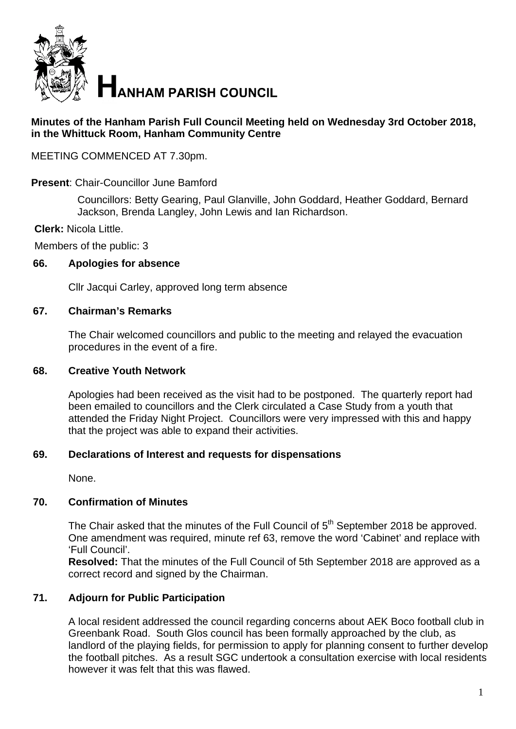

# **Minutes of the Hanham Parish Full Council Meeting held on Wednesday 3rd October 2018, in the Whittuck Room, Hanham Community Centre**

MEETING COMMENCED AT 7.30pm.

## **Present**: Chair-Councillor June Bamford

Councillors: Betty Gearing, Paul Glanville, John Goddard, Heather Goddard, Bernard Jackson, Brenda Langley, John Lewis and Ian Richardson.

### **Clerk:** Nicola Little.

Members of the public: 3

### **66. Apologies for absence**

Cllr Jacqui Carley, approved long term absence

### **67. Chairman's Remarks**

The Chair welcomed councillors and public to the meeting and relayed the evacuation procedures in the event of a fire.

### **68. Creative Youth Network**

Apologies had been received as the visit had to be postponed. The quarterly report had been emailed to councillors and the Clerk circulated a Case Study from a youth that attended the Friday Night Project. Councillors were very impressed with this and happy that the project was able to expand their activities.

### **69. Declarations of Interest and requests for dispensations**

None.

### **70. Confirmation of Minutes**

The Chair asked that the minutes of the Full Council of 5<sup>th</sup> September 2018 be approved. One amendment was required, minute ref 63, remove the word 'Cabinet' and replace with 'Full Council'.

**Resolved:** That the minutes of the Full Council of 5th September 2018 are approved as a correct record and signed by the Chairman.

### **71. Adjourn for Public Participation**

A local resident addressed the council regarding concerns about AEK Boco football club in Greenbank Road. South Glos council has been formally approached by the club, as landlord of the playing fields, for permission to apply for planning consent to further develop the football pitches. As a result SGC undertook a consultation exercise with local residents however it was felt that this was flawed.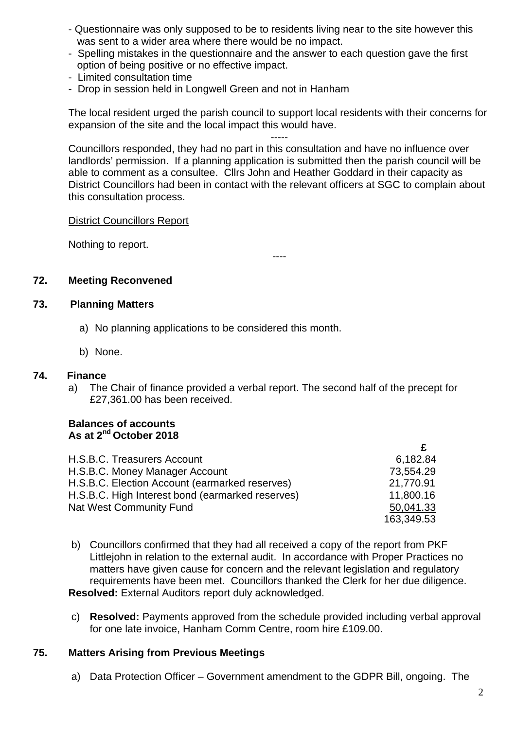- Questionnaire was only supposed to be to residents living near to the site however this was sent to a wider area where there would be no impact.
- Spelling mistakes in the questionnaire and the answer to each question gave the first option of being positive or no effective impact.
- Limited consultation time
- Drop in session held in Longwell Green and not in Hanham

The local resident urged the parish council to support local residents with their concerns for expansion of the site and the local impact this would have.

----- Councillors responded, they had no part in this consultation and have no influence over landlords' permission. If a planning application is submitted then the parish council will be able to comment as a consultee. Cllrs John and Heather Goddard in their capacity as District Councillors had been in contact with the relevant officers at SGC to complain about this consultation process.

----

District Councillors Report

Nothing to report.

### **72. Meeting Reconvened**

#### **73. Planning Matters**

- a) No planning applications to be considered this month.
- b) None.

### **74. Finance**

a) The Chair of finance provided a verbal report. The second half of the precept for £27,361.00 has been received.

### **Balances of accounts As at 2nd October 2018**

| H.S.B.C. Treasurers Account                      | 6,182.84   |
|--------------------------------------------------|------------|
| H.S.B.C. Money Manager Account                   | 73,554.29  |
| H.S.B.C. Election Account (earmarked reserves)   | 21,770.91  |
| H.S.B.C. High Interest bond (earmarked reserves) | 11,800.16  |
| <b>Nat West Community Fund</b>                   | 50,041.33  |
|                                                  | 163,349.53 |

- b) Councillors confirmed that they had all received a copy of the report from PKF Littlejohn in relation to the external audit. In accordance with Proper Practices no matters have given cause for concern and the relevant legislation and regulatory requirements have been met. Councillors thanked the Clerk for her due diligence. **Resolved:** External Auditors report duly acknowledged.
- c) **Resolved:** Payments approved from the schedule provided including verbal approval for one late invoice, Hanham Comm Centre, room hire £109.00.

### **75. Matters Arising from Previous Meetings**

a) Data Protection Officer – Government amendment to the GDPR Bill, ongoing. The